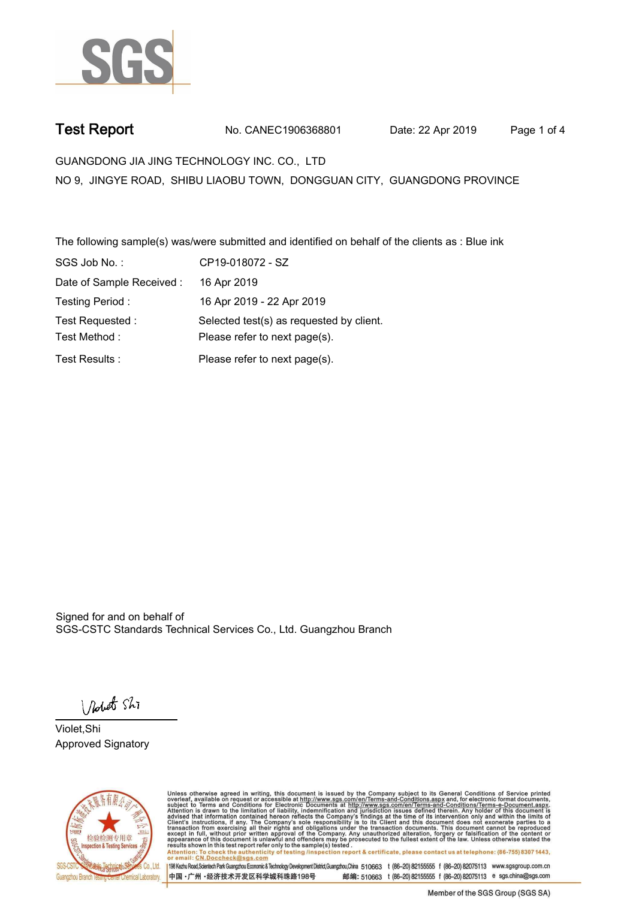

**Test Report. No. CANEC1906368801 Date: 22 Apr 2019. Page 1 of 4.**

**GUANGDONG JIA JING TECHNOLOGY INC. CO., LTD. NO 9, JINGYE ROAD, SHIBU LIAOBU TOWN, DONGGUAN CITY, GUANGDONG PROVINCE**

**The following sample(s) was/were submitted and identified on behalf of the clients as : Blue ink.**

| SGS Job No.:              | CP19-018072 - SZ                         |
|---------------------------|------------------------------------------|
| Date of Sample Received : | 16 Apr 2019                              |
| Testing Period:           | 16 Apr 2019 - 22 Apr 2019                |
| Test Requested:           | Selected test(s) as requested by client. |
| Test Method:              | Please refer to next page(s).            |
| Test Results:             | Please refer to next page(s).            |

Signed for and on behalf of SGS-CSTC Standards Technical Services Co., Ltd. Guangzhou Branch.

Nobet Shi

**Violet,Shi. Approved Signatory.**



Unless otherwise agreed in writing, this document is issued by the Company subject to its General Conditions of Service printed overleaf, available on request or accessible at http://www.sgs.com/en/Terms-and-Conditions.asp To check the authenticity of testing (inspection report & certificate, please contact us at telephone: (86-755) 8307 1443. Attention: To check the authentic<br>or email: CN.Doccheck@sgs.com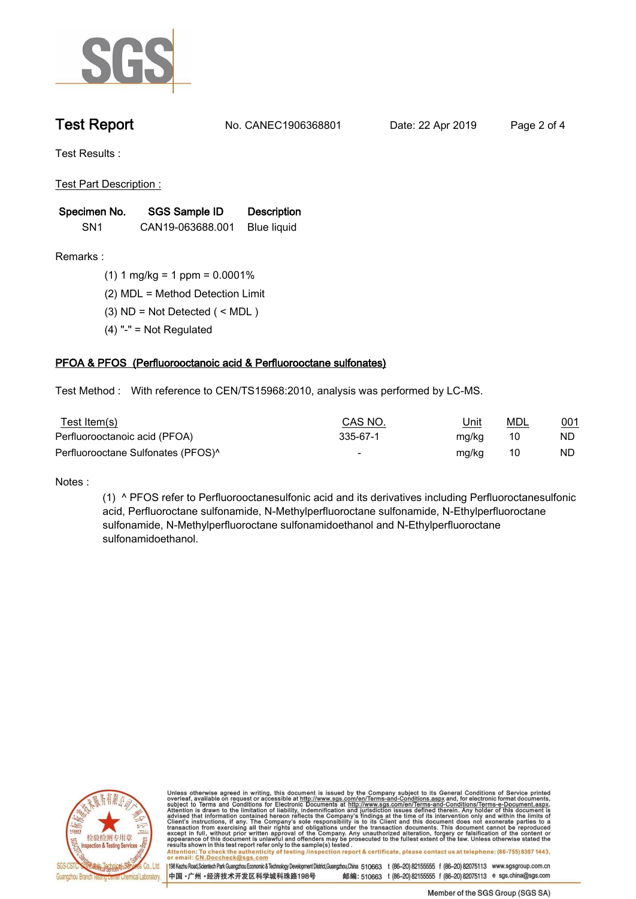

**Test Report. No. CANEC1906368801 Date: 22 Apr 2019. Page 2 of 4.**

**Test Results :.**

**Test Part Description :.**

| Specimen No.    | SGS Sample ID    | <b>Description</b> |  |
|-----------------|------------------|--------------------|--|
| SN <sub>1</sub> | CAN19-063688.001 | Blue liquid        |  |

**Remarks :.(1) 1 mg/kg = 1 ppm = 0.0001%.**

**(2) MDL = Method Detection Limit.**

- **(3) ND = Not Detected ( < MDL ).**
- **(4) "-" = Not Regulated.**

## **PFOA & PFOS (Perfluorooctanoic acid & Perfluorooctane sulfonates).**

**Test Method :. With reference to CEN/TS15968:2010, analysis was performed by LC-MS..**

| <u>Test Item(s)</u>                            | CAS NO.  | <u>Unit</u> | <u>MDL</u> | 001 |
|------------------------------------------------|----------|-------------|------------|-----|
| Perfluorooctanoic acid (PFOA)                  | 335-67-1 | mg/kg       | 10         | ND  |
| Perfluorooctane Sulfonates (PFOS) <sup>^</sup> |          | mg/kg       | 10         | ND  |

**Notes :.**

**(1) ^ PFOS refer to Perfluorooctanesulfonic acid and its derivatives including Perfluoroctanesulfonic acid, Perfluoroctane sulfonamide, N-Methylperfluoroctane sulfonamide, N-Ethylperfluoroctane sulfonamide, N-Methylperfluoroctane sulfonamidoethanol and N-Ethylperfluoroctane sulfonamidoethanol..**



Unless otherwise agreed in writing, this document is issued by the Company subject to its General Conditions of Service printed overleaf, available on request or accessible at http://www.sgs.com/en/Terms-and-Conditions.asp resuns shown in this test report refer only to the sample(s) tested .<br>Attention: To check the authenticity of testing /inspection report & certificate, please contact us at telephone: (86-755) 8307 1443,<br>or email: <u>CN.Docc</u>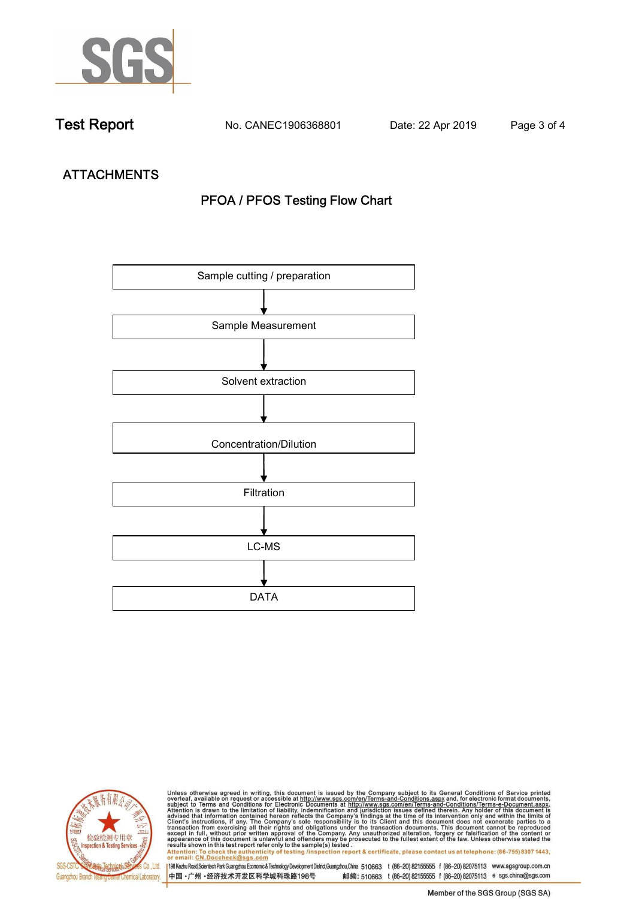

**Test Report. No. CANEC1906368801 Date: 22 Apr 2019. Page 3 of 4.**

# **ATTACHMENTS PFOA / PFOS Testing Flow Chart**





Unless otherwise agreed in writing, this document is issued by the Company subject to its General Conditions of Service printed<br>overleaf, available on request or accessible at http://www.sgs.com/en/Terms-and-Conditions.asp results shown in this test report refer only to the sample(s) tested .<br>Attention: To check the authenticity of testing /inspection report & certificate, please contact us at telephone: (86-755) 8307 1443,<br>or email: <u>CN.Doc</u>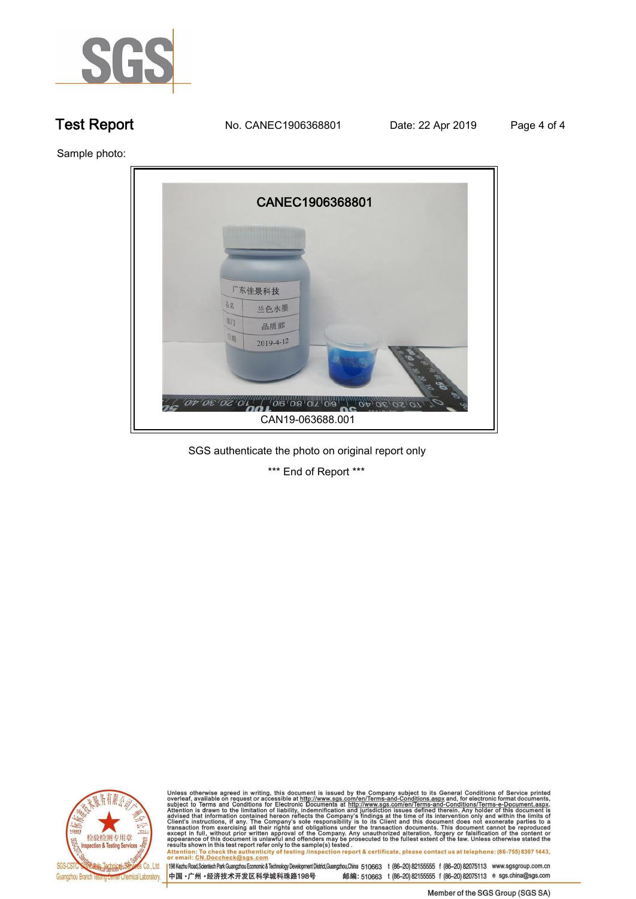

**Test Report. No. CANEC1906368801** Date: 22 Apr 2019 Page 4 of 4

**Sample photo:.**



**SGS authenticate the photo on original report only.**

**\*\*\* End of Report \*\*\*.**



Unless otherwise agreed in writing, this document is issued by the Company subject to its General Conditions of Service printed<br>overleaf, available on request or accessible at http://www.sgs.com/en/Terms-and-Conditions.asp Attention: To check the authenticity of testing /inspection report & certificate, please contact us at telephone: (86-755) 8307 1443,<br>Attention: To check the authenticity of testing /inspection report & certificate, please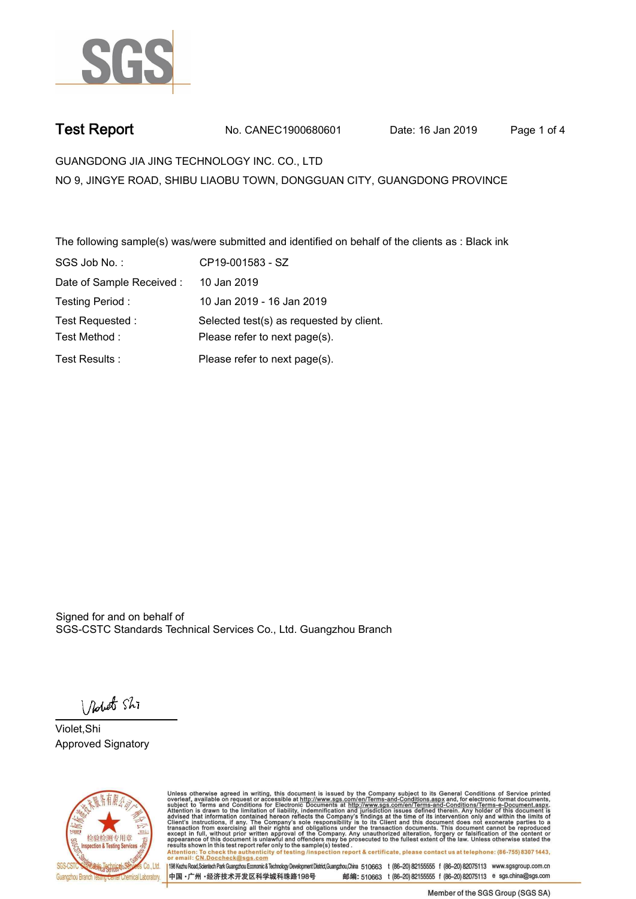

**Test Report. No. CANEC1900680601 Date: 16 Jan 2019. Page 1 of 4.**

**GUANGDONG JIA JING TECHNOLOGY INC. CO., LTD. NO 9, JINGYE ROAD, SHIBU LIAOBU TOWN, DONGGUAN CITY, GUANGDONG PROVINCE**

**The following sample(s) was/were submitted and identified on behalf of the clients as : Black ink.**

| SGS Job No.:              | CP19-001583 - SZ                         |
|---------------------------|------------------------------------------|
| Date of Sample Received : | 10 Jan 2019                              |
| Testing Period:           | 10 Jan 2019 - 16 Jan 2019                |
| Test Requested:           | Selected test(s) as requested by client. |
| Test Method:              | Please refer to next page(s).            |
| Test Results:             | Please refer to next page(s).            |

Signed for and on behalf of SGS-CSTC Standards Technical Services Co., Ltd. Guangzhou Branch.

Nobet Shi

**Violet,Shi. Approved Signatory.**



Unless otherwise agreed in writing, this document is issued by the Company subject to its General Conditions of Service printed overleaf, available on request or accessible at http://www.sgs.com/en/Terms-and-Conditions.asp To check the authenticity of testing (inspection report & certificate, please contact us at telephone: (86-755) 8307 1443. Attention: To check the authentic<br>or email: CN.Doccheck@sgs.com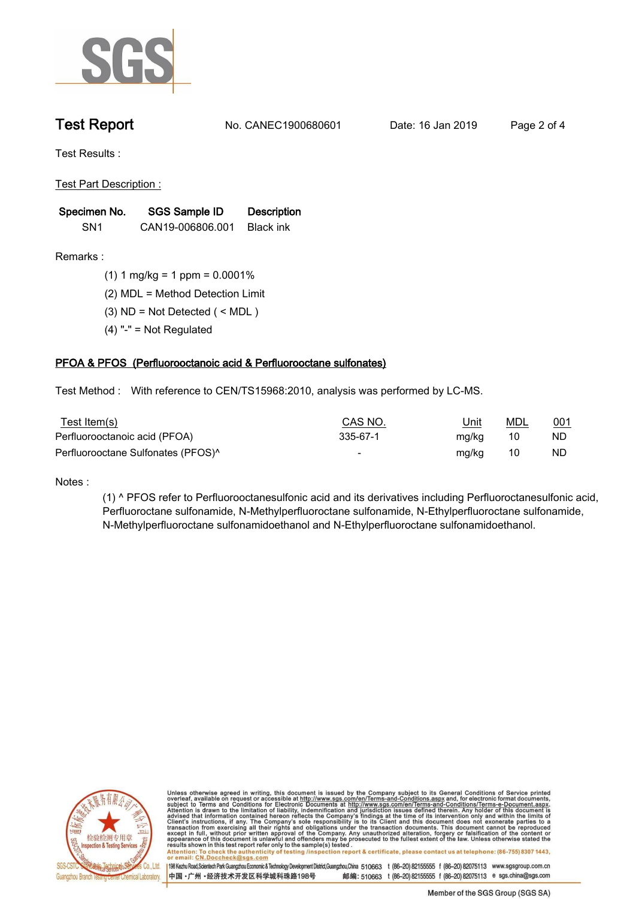

**Test Report. No. CANEC1900680601 Date: 16 Jan 2019. Page 2 of 4.**

**Test Results :.**

**Test Part Description :.**

| Specimen No.    | SGS Sample ID    | <b>Description</b> |  |
|-----------------|------------------|--------------------|--|
| SN <sub>1</sub> | CAN19-006806.001 | Black ink          |  |

**Remarks :.(1) 1 mg/kg = 1 ppm = 0.0001%.**

**(2) MDL = Method Detection Limit.**

**(3) ND = Not Detected ( < MDL ).**

**(4) "-" = Not Regulated.**

## **PFOA & PFOS (Perfluorooctanoic acid & Perfluorooctane sulfonates).**

**Test Method :. With reference to CEN/TS15968:2010, analysis was performed by LC-MS..**

| Test Item(s)                                   | CAS NO.                  | Unit  | MDL | <u>001</u> |
|------------------------------------------------|--------------------------|-------|-----|------------|
| Perfluorooctanoic acid (PFOA)                  | 335-67-1                 | mg/kg | -10 | ND.        |
| Perfluorooctane Sulfonates (PFOS) <sup>^</sup> | $\overline{\phantom{0}}$ | mg/kg | -10 | ND         |

**Notes :.**

**(1) ^ PFOS refer to Perfluorooctanesulfonic acid and its derivatives including Perfluoroctanesulfonic acid, Perfluoroctane sulfonamide, N-Methylperfluoroctane sulfonamide, N-Ethylperfluoroctane sulfonamide, N-Methylperfluoroctane sulfonamidoethanol and N-Ethylperfluoroctane sulfonamidoethanol..**



Unless otherwise agreed in writing, this document is issued by the Company subject to its General Conditions of Service printed overleaf, available on request or accessible at http://www.sgs.com/en/Terms-and-Conditions.asp resuns shown in this test report refer only to the sample(s) tested .<br>Attention: To check the authenticity of testing /inspection report & certificate, please contact us at telephone: (86-755) 8307 1443,<br>or email: <u>CN.Docc</u>

198 Kezhu Road,Scientech Park Guangzhou Economic & Technology Development District,Guangzhou,China 510663 t (86-20) 82155555 f (86-20) 82075113 www.sgsgroup.com.cn

中国·广州·经济技术开发区科学城科珠路198号 邮编: 510663 t (86-20) 82155555 f (86-20) 82075113 e sgs.china@sgs.com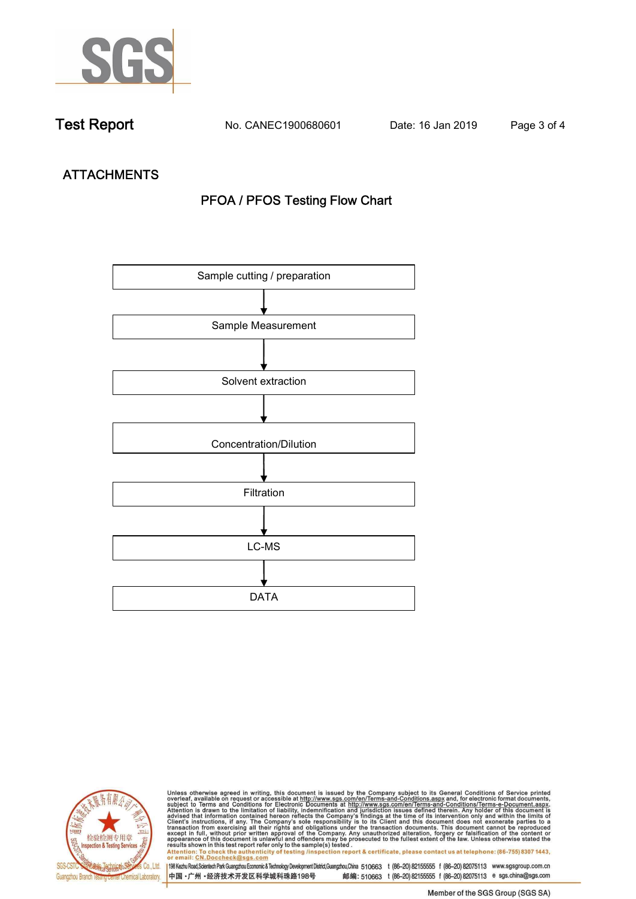

**Test Report. No. CANEC1900680601 Date: 16 Jan 2019. Page 3 of 4.**

# **ATTACHMENTS PFOA / PFOS Testing Flow Chart**





Unless otherwise agreed in writing, this document is issued by the Company subject to its General Conditions of Service printed<br>overleaf, available on request or accessible at http://www.sgs.com/en/Terms-and-Conditions.asp results shown in this test report refer only to the sample(s) tested .<br>Attention: To check the authenticity of testing /inspection report & certificate, please contact us at telephone: (86-755) 8307 1443,<br>or email: <u>CN.Doc</u>